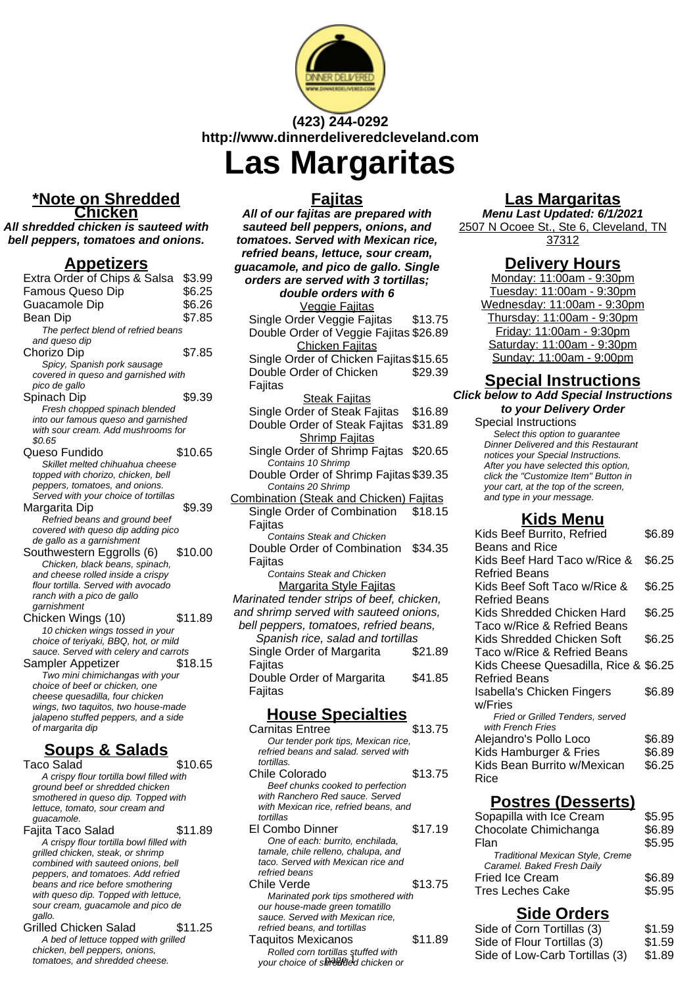

# **(423) 244-0292 http://www.dinnerdeliveredcleveland.com**

**Las Margaritas**

### **\*Note on Shredded Chicken**

**All shredded chicken is sauteed with bell peppers, tomatoes and onions.**

# **Appetizers**

| <u>Appelizei S</u>                                                          |         |
|-----------------------------------------------------------------------------|---------|
| Extra Order of Chips & Salsa                                                | \$3.99  |
| <b>Famous Queso Dip</b>                                                     | \$6.25  |
| Guacamole Dip                                                               | \$6.26  |
| Bean Dip                                                                    | \$7.85  |
| The perfect blend of refried beans                                          |         |
| and queso dip                                                               |         |
| Chorizo Dip                                                                 | \$7.85  |
| Spicy, Spanish pork sausage                                                 |         |
| covered in queso and garnished with                                         |         |
| pico de gallo                                                               |         |
| Spinach Dip                                                                 | \$9.39  |
| Fresh chopped spinach blended                                               |         |
| into our famous queso and garnished                                         |         |
| with sour cream. Add mushrooms for                                          |         |
| \$0.65                                                                      |         |
| Queso Fundido                                                               | \$10.65 |
| Skillet melted chihuahua cheese                                             |         |
| topped with chorizo, chicken, bell                                          |         |
| peppers, tomatoes, and onions.                                              |         |
| Served with your choice of tortillas                                        |         |
| Margarita Dip                                                               | \$9.39  |
| Refried beans and ground beef<br>covered with queso dip adding pico         |         |
| de gallo as a garnishment                                                   |         |
| Southwestern Eggrolls (6)                                                   | \$10.00 |
| Chicken, black beans, spinach,                                              |         |
| and cheese rolled inside a crispy                                           |         |
| flour tortilla. Served with avocado                                         |         |
| ranch with a pico de gallo                                                  |         |
| garnishment                                                                 |         |
| Chicken Wings (10)                                                          | \$11.89 |
| 10 chicken wings tossed in your                                             |         |
| choice of teriyaki, BBQ, hot, or mild                                       |         |
| sauce. Served with celery and carrots                                       |         |
| Sampler Appetizer                                                           | \$18.15 |
| Two mini chimichangas with your                                             |         |
| choice of beef or chicken, one                                              |         |
| cheese quesadilla, four chicken                                             |         |
| wings, two taquitos, two house-made<br>jalapeno stuffed peppers, and a side |         |
| of margarita dip                                                            |         |
|                                                                             |         |

# **Soups & Salads**

Taco Salad \$10.65 A crispy flour tortilla bowl filled with ground beef or shredded chicken smothered in queso dip. Topped with lettuce, tomato, sour cream and guacamole.

- Fajita Taco Salad \$11.89 A crispy flour tortilla bowl filled with grilled chicken, steak, or shrimp combined with sauteed onions, bell peppers, and tomatoes. Add refried beans and rice before smothering with queso dip. Topped with lettuce, sour cream, guacamole and pico de gallo.
- Grilled Chicken Salad \$11.25 A bed of lettuce topped with grilled chicken, bell peppers, onions, tomatoes, and shredded cheese.

### **Fajitas**

**All of our fajitas are prepared with sauteed bell peppers, onions, and tomatoes. Served with Mexican rice, refried beans, lettuce, sour cream, guacamole, and pico de gallo. Single orders are served with 3 tortillas; double orders with 6** Veggie Fajitas Single Order Veggie Fajitas \$13.75 Double Order of Veggie Fajitas \$26.89 Chicken Fajitas Single Order of Chicken Fajitas\$15.65 Double Order of Chicken Fajitas \$29.39 **Steak Fajitas** Single Order of Steak Fajitas \$16.89 Double Order of Steak Fajitas \$31.89 **Shrimp Fajitas** Single Order of Shrimp Fajtas \$20.65 Contains 10 Shrimp Double Order of Shrimp Fajitas \$39.35 Contains 20 Shrimp Combination (Steak and Chicken) Fajitas Single Order of Combination Fajitas \$18.15 Contains Steak and Chicken Double Order of Combination Fajitas \$34.35 Contains Steak and Chicken Margarita Style Fajitas Marinated tender strips of beef, chicken, and shrimp served with sauteed onions, bell peppers, tomatoes, refried beans, Spanish rice, salad and tortillas Single Order of Margarita Fajitas \$21.89 Double Order of Margarita **Fajitas** \$41.85 **House Specialties**

| <u>nuuse opecialites</u>              |         |
|---------------------------------------|---------|
| Carnitas Entree                       | \$13.75 |
| Our tender pork tips, Mexican rice,   |         |
| refried beans and salad, served with  |         |
| tortillas.                            |         |
| Chile Colorado                        | \$13.75 |
| Beef chunks cooked to perfection      |         |
| with Ranchero Red sauce. Served       |         |
| with Mexican rice, refried beans, and |         |
| tortillas                             |         |
| El Combo Dinner                       | \$17.19 |
| One of each: burrito, enchilada,      |         |
| tamale, chile relleno, chalupa, and   |         |
| taco. Served with Mexican rice and    |         |
| refried beans                         |         |
| Chile Verde                           | \$13.75 |
| Marinated pork tips smothered with    |         |
| our house-made green tomatillo        |         |
| sauce. Served with Mexican rice.      |         |
| refried beans, and tortillas          |         |
| <b>Taquitos Mexicanos</b>             | \$11.89 |
| Rolled corn tortillas stuffed with    |         |

# **Las Margaritas**

**Menu Last Updated: 6/1/2021** 2507 N Ocoee St., Ste 6, Cleveland, TN 37312

## **Delivery Hours**

Monday: 11:00am - 9:30pm Tuesday: 11:00am - 9:30pm Wednesday: 11:00am - 9:30pm Thursday: 11:00am - 9:30pm Friday: 11:00am - 9:30pm Saturday: 11:00am - 9:30pm Sunday: 11:00am - 9:00pm

## **Special Instructions**

**Click below to Add Special Instructions to your Delivery Order**

Special Instructions Select this option to quarantee Dinner Delivered and this Restaurant notices your Special Instructions. After you have selected this option, click the "Customize Item" Button in your cart, at the top of the screen, and type in your message.

## **Kids Menu**

| Kids Beef Burrito, Refried            | \$6.89 |
|---------------------------------------|--------|
| Beans and Rice                        |        |
| Kids Beef Hard Taco w/Rice &          | \$6.25 |
| Refried Beans                         |        |
| Kids Beef Soft Taco w/Rice &          | \$6.25 |
| Refried Beans                         |        |
| Kids Shredded Chicken Hard            | \$6.25 |
| Taco w/Rice & Refried Beans           |        |
| Kids Shredded Chicken Soft            | \$6.25 |
| Taco w/Rice & Refried Beans           |        |
| Kids Cheese Quesadilla, Rice & \$6.25 |        |
| Refried Beans                         |        |
| <b>Isabella's Chicken Fingers</b>     | \$6.89 |
| w/Fries                               |        |
| Fried or Grilled Tenders, served      |        |
| with French Fries                     |        |
| Alejandro's Pollo Loco                | \$6.89 |
| Kids Hamburger & Fries                | \$6.89 |
| Kids Bean Burrito w/Mexican           | \$6.25 |
| Rice                                  |        |
|                                       |        |

### **Postres (Desserts)**

| Sopapilla with Ice Cream         | \$5.95 |
|----------------------------------|--------|
| Chocolate Chimichanga            | \$6.89 |
| Flan                             | \$5.95 |
| Traditional Mexican Style, Creme |        |
| Caramel. Baked Fresh Daily       |        |
| <b>Fried Ice Cream</b>           | \$6.89 |
| <b>Tres Leches Cake</b>          | \$5.95 |
|                                  |        |

# **Side Orders**

| refried beans, and tortillas<br>aquitos Mexicanos<br>Rolled corn tortillas stuffed with<br>your choice of shiestedd chicken or | \$11.89 | Side of Corn Tortillas (3)<br>Side of Flour Tortillas (3)<br>Side of Low-Carb Tortillas (3) | \$1.59<br>\$1.59<br>\$1.89 |
|--------------------------------------------------------------------------------------------------------------------------------|---------|---------------------------------------------------------------------------------------------|----------------------------|
|--------------------------------------------------------------------------------------------------------------------------------|---------|---------------------------------------------------------------------------------------------|----------------------------|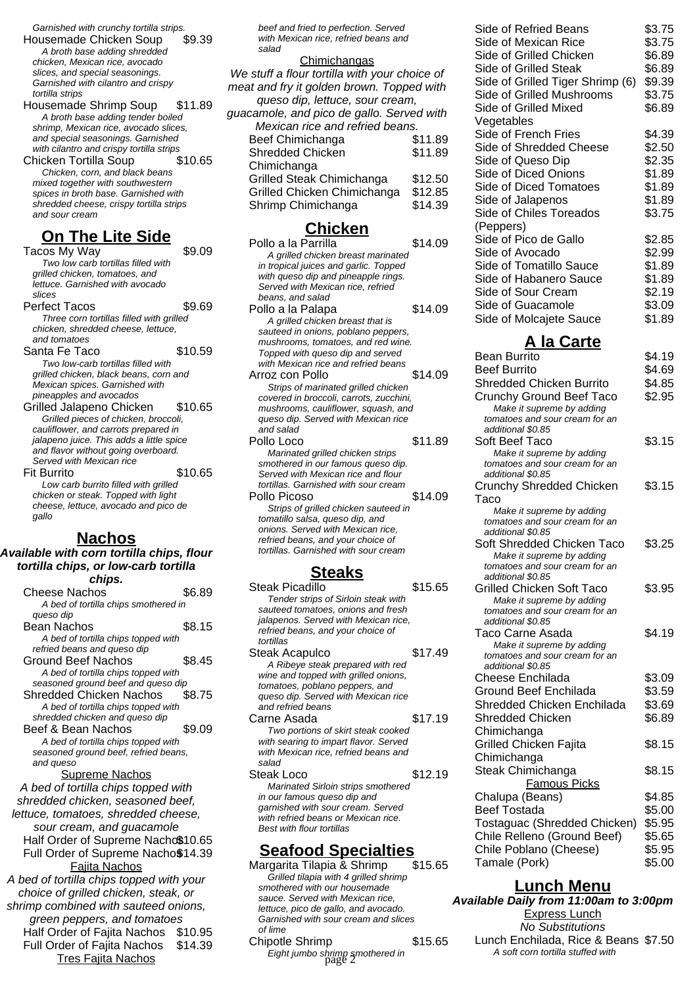Garnished with crunchy tortilla strips.

- Housemade Chicken Soup \$9.39 A broth base adding shredded chicken, Mexican rice, avocado slices, and special seasonings. Garnished with cilantro and crispy tortilla strips
- Housemade Shrimp Soup \$11.89 A broth base adding tender boiled shrimp, Mexican rice, avocado slices, and special seasonings. Garnished with cilantro and crispy tortilla strips
- Chicken Tortilla Soup \$10.65 Chicken, corn, and black beans mixed together with southwestern spices in broth base. Garnished with shredded cheese, crispy tortilla strips and sour cream

## **On The Lite Side**

Tacos My Way **\$9.09** Two low carb tortillas filled with grilled chicken, tomatoes, and lettuce. Garnished with avocado slices Perfect Tacos \$9.69 Three corn tortillas filled with grilled chicken, shredded cheese, lettuce, and tomatoes Santa Fe Taco \$10.59 Two low-carb tortillas filled with grilled chicken, black beans, corn and Mexican spices. Garnished with pineapples and avocados Grilled Jalapeno Chicken \$10.65 Grilled pieces of chicken, broccoli, cauliflower, and carrots prepared in jalapeno juice. This adds a little spice and flavor without going overboard. Served with Mexican rice Fit Burrito  $$10.65$ Low carb burrito filled with grilled chicken or steak. Topped with light cheese, lettuce, avocado and pico de

### **Nachos**

gallo

#### **Available with corn tortilla chips, flour tortilla chips, or low-carb tortilla chips.**

Cheese Nachos \$6.89 A bed of tortilla chips smothered in queso dip Bean Nachos 58.15 A bed of tortilla chips topped with refried beans and queso dip Ground Beef Nachos \$8.45 A bed of tortilla chips topped with seasoned ground beef and queso dip Shredded Chicken Nachos \$8.75 A bed of tortilla chips topped with shredded chicken and queso dip Beef & Bean Nachos \$9.09 A bed of tortilla chips topped with seasoned ground beef, refried beans, and queso Supreme Nachos A bed of tortilla chips topped with shredded chicken, seasoned beef, lettuce, tomatoes, shredded cheese, sour cream, and guacamole Half Order of Supreme Nachos\$10.65 Full Order of Supreme Nacho\$14.39 Fajita Nachos A bed of tortilla chips topped with your choice of grilled chicken, steak, or shrimp combined with sauteed onions, green peppers, and tomatoes Half Order of Fajita Nachos \$10.95 Full Order of Fajita Nachos \$14.39 Tres Fajita Nachos

beef and fried to perfection. Served with Mexican rice, refried beans and salad

#### Chimichangas We stuff a flour tortilla with your choice of meat and fry it golden brown. Topped with queso dip, lettuce, sour cream, guacamole, and pico de gallo. Served with Mexican rice and refried beans. Beef Chimichanga  $$11.89$ Shredded Chicken Chimichanga \$11.89 Grilled Steak Chimichanga \$12.50 Grilled Chicken Chimichanga \$12.85 Shrimp Chimichanga \$14.39

### **Chicken**

| Pollo a la Parrilla<br>A grilled chicken breast marinated<br>in tropical juices and garlic. Topped<br>with queso dip and pineapple rings.<br>Served with Mexican rice, refried<br>beans, and salad | \$14.09 |
|----------------------------------------------------------------------------------------------------------------------------------------------------------------------------------------------------|---------|
| Pollo a la Palapa                                                                                                                                                                                  | \$14.09 |
| A grilled chicken breast that is<br>sauteed in onions, poblano peppers,<br>mushrooms, tomatoes, and red wine.<br>Topped with queso dip and served                                                  |         |
| with Mexican rice and refried beans                                                                                                                                                                |         |
| Arroz con Pollo<br>Strips of marinated grilled chicken<br>covered in broccoli, carrots, zucchini,<br>mushrooms, cauliflower, squash, and<br>queso dip. Served with Mexican rice<br>and salad       | \$14.09 |
| Pollo Loco                                                                                                                                                                                         | \$11.89 |
| Marinated grilled chicken strips<br>smothered in our famous queso dip.<br>Served with Mexican rice and flour<br>tortillas. Garnished with sour cream                                               |         |
| Pollo Picoso                                                                                                                                                                                       | \$14.09 |
| Strips of grilled chicken sauteed in<br>tomatillo salsa, queso dip, and<br>onions. Served with Mexican rice,<br>refried beans, and your choice of<br>tortillas. Garnished with sour cream          |         |
| Steaks                                                                                                                                                                                             |         |

| Steak Picadillo                       | \$15.65 |
|---------------------------------------|---------|
| Tender strips of Sirloin steak with   |         |
| sauteed tomatoes, onions and fresh    |         |
| jalapenos. Served with Mexican rice,  |         |
| refried beans, and your choice of     |         |
| tortillas                             |         |
| Steak Acapulco                        | \$17.49 |
| A Ribeye steak prepared with red      |         |
| wine and topped with grilled onions,  |         |
| tomatoes, poblano peppers, and        |         |
| queso dip. Served with Mexican rice   |         |
| and refried beans                     |         |
| Carne Asada                           | \$17.19 |
| Two portions of skirt steak cooked    |         |
| with searing to impart flavor. Served |         |
| with Mexican rice, refried beans and  |         |
| salad                                 |         |
| Steak Loco                            | \$12.19 |
| Marinated Sirloin strips smothered    |         |
| in our famous queso dip and           |         |
| garnished with sour cream. Served     |         |
| with refried beans or Mexican rice.   |         |
| <b>Best with flour tortillas</b>      |         |
| nafood Bno<br>rialtine                |         |

#### **Seafood Specialties** Margarita Tilapia & Shrimp \$15.65 Grilled tilapia with 4 grilled shrimp

- smothered with our housemade sauce. Served with Mexican rice, lettuce, pico de gallo, and avocado. Garnished with sour cream and slices of lime Chipotle Shrimp \$15.65
- Eight jumbo shrimp smothered in A soft corn tortilla stuffed with page 2

| Side of Refried Beans            | \$3.75 |
|----------------------------------|--------|
| Side of Mexican Rice             | \$3.75 |
| Side of Grilled Chicken          | \$6.89 |
| Side of Grilled Steak            | \$6.89 |
| Side of Grilled Tiger Shrimp (6) | \$9.39 |
| Side of Grilled Mushrooms        | \$3.75 |
| Side of Grilled Mixed            | \$6.89 |
| Vegetables                       |        |
| Side of French Fries             | \$4.39 |
| Side of Shredded Cheese          | \$2.50 |
| Side of Queso Dip                | \$2.35 |
| Side of Diced Onions             | \$1.89 |
| Side of Diced Tomatoes           | \$1.89 |
| Side of Jalapenos                | \$1.89 |
| Side of Chiles Toreados          | \$3.75 |
| (Peppers)                        |        |
| Side of Pico de Gallo            | \$2.85 |
| Side of Avocado                  | \$2.99 |
| Side of Tomatillo Sauce          | \$1.89 |
| Side of Habanero Sauce           | \$1.89 |
| Side of Sour Cream               | \$2.19 |
| Side of Guacamole                | \$3.09 |
| Side of Molcajete Sauce          | \$1.89 |

# **A la Carte**

| <b>Bean Burrito</b>                                         | \$4.19 |
|-------------------------------------------------------------|--------|
| <b>Beef Burrito</b>                                         | \$4.69 |
| <b>Shredded Chicken Burrito</b>                             | \$4.85 |
| Crunchy Ground Beef Taco                                    | \$2.95 |
| Make it supreme by adding                                   |        |
| tomatoes and sour cream for an                              |        |
| additional \$0.85                                           |        |
| Soft Beef Taco                                              | \$3.15 |
| Make it supreme by adding                                   |        |
| tomatoes and sour cream for an                              |        |
| additional \$0.85                                           | \$3.15 |
| Crunchy Shredded Chicken                                    |        |
| Taco                                                        |        |
| Make it supreme by adding<br>tomatoes and sour cream for an |        |
| additional \$0.85                                           |        |
| Soft Shredded Chicken Taco                                  | \$3.25 |
| Make it supreme by adding                                   |        |
| tomatoes and sour cream for an                              |        |
| additional \$0.85                                           |        |
| <b>Grilled Chicken Soft Taco</b>                            | \$3.95 |
| Make it supreme by adding                                   |        |
| tomatoes and sour cream for an                              |        |
| additional \$0.85                                           |        |
| Taco Carne Asada                                            | \$4.19 |
| Make it supreme by adding                                   |        |
| tomatoes and sour cream for an<br>additional \$0.85         |        |
| <b>Cheese Enchilada</b>                                     | \$3.09 |
| <b>Ground Beef Enchilada</b>                                | \$3.59 |
| Shredded Chicken Enchilada                                  | \$3.69 |
| <b>Shredded Chicken</b>                                     |        |
|                                                             | \$6.89 |
| Chimichanga                                                 |        |
| Grilled Chicken Fajita                                      | \$8.15 |
| Chimichanga                                                 |        |
| Steak Chimichanga                                           | \$8.15 |
| <b>Famous Picks</b>                                         |        |
| Chalupa (Beans)                                             | \$4.85 |
| <b>Beef Tostada</b>                                         | \$5.00 |
| Tostaguac (Shredded Chicken)                                | \$5.95 |
| Chile Relleno (Ground Beef)                                 | \$5.65 |
| Chile Poblano (Cheese)                                      | \$5.95 |
| Tamale (Pork)                                               | \$5.00 |
|                                                             |        |

#### **Lunch Menu**

**Available Daily from 11:00am to 3:00pm** Express Lunch No Substitutions Lunch Enchilada, Rice & Beans \$7.50<br>A soft corn tortilla stuffed with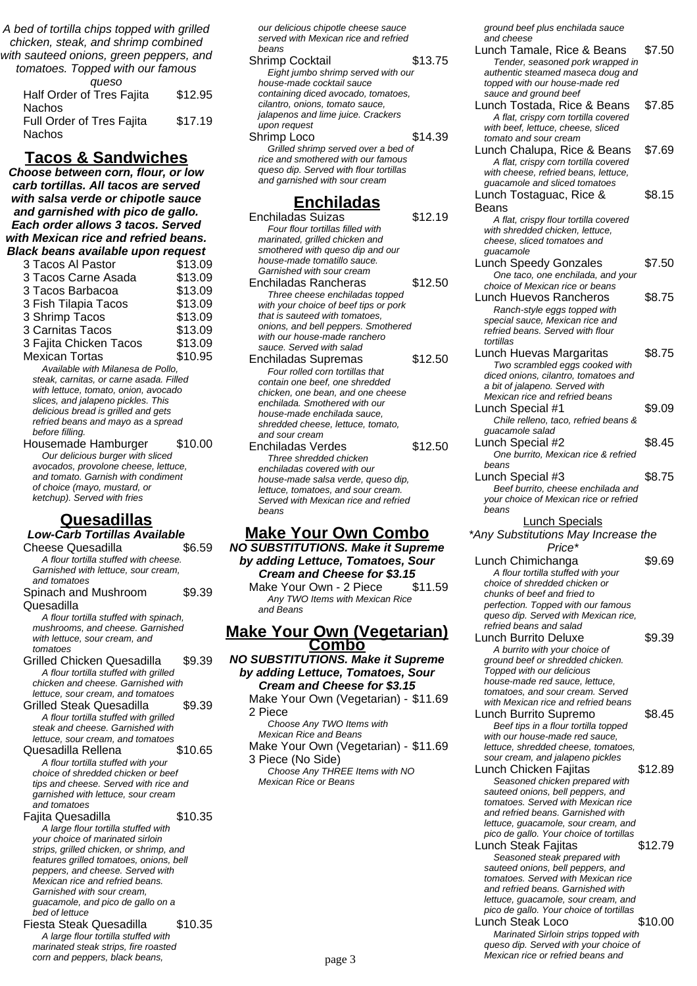A bed of tortilla chips topped with grilled chicken, steak, and shrimp combined with sauteed onions, green peppers, and tomatoes. Topped with our famous

| queso                            |         |
|----------------------------------|---------|
| Half Order of Tres Fajita        | \$12.95 |
| <b>Nachos</b>                    |         |
| <b>Full Order of Tres Fajita</b> | \$17.19 |
| <b>Nachos</b>                    |         |
|                                  |         |

### **Tacos & Sandwiches**

**Choose between corn, flour, or low carb tortillas. All tacos are served with salsa verde or chipotle sauce and garnished with pico de gallo. Each order allows 3 tacos. Served with Mexican rice and refried beans. Black beans available upon request**

|                                  | aon beano avanabie apon regaeot |  |  |
|----------------------------------|---------------------------------|--|--|
| 3 Tacos Al Pastor                | \$13.09                         |  |  |
| 3 Tacos Carne Asada              | \$13.09                         |  |  |
| 3 Tacos Barbacoa                 | \$13.09                         |  |  |
| 3 Fish Tilapia Tacos             | \$13.09                         |  |  |
| 3 Shrimp Tacos                   | \$13.09                         |  |  |
| 3 Carnitas Tacos                 | \$13.09                         |  |  |
| 3 Fajita Chicken Tacos           | \$13.09                         |  |  |
| <b>Mexican Tortas</b>            | \$10.95                         |  |  |
| Available with Milangen de Delle |                                 |  |  |

Available with Milanesa de Pollo, steak, carnitas, or carne asada. Filled with lettuce, tomato, onion, avocado slices, and jalapeno pickles. This delicious bread is grilled and gets refried beans and mayo as a spread before filling.

Housemade Hamburger \$10.00 Our delicious burger with sliced avocados, provolone cheese, lettuce, and tomato. Garnish with condiment of choice (mayo, mustard, or ketchup). Served with fries

# **Quesadillas**

**Low-Carb Tortillas Available** Cheese Quesadilla  $$6.59$ A flour tortilla stuffed with cheese. Garnished with lettuce, sour cream, and tomatoes Spinach and Mushroom Quesadilla \$9.39 A flour tortilla stuffed with spinach, mushrooms, and cheese. Garnished with lettuce, sour cream, and tomatoes Grilled Chicken Quesadilla \$9.39 A flour tortilla stuffed with grilled chicken and cheese. Garnished with lettuce, sour cream, and tomatoes Grilled Steak Quesadilla \$9.39 A flour tortilla stuffed with grilled steak and cheese. Garnished with lettuce, sour cream, and tomatoes Quesadilla Rellena  $$10.65$ A flour tortilla stuffed with your choice of shredded chicken or beef tips and cheese. Served with rice and garnished with lettuce, sour cream and tomatoes Faiita Quesadilla  $$10.35$ A large flour tortilla stuffed with your choice of marinated sirloin strips, grilled chicken, or shrimp, and features grilled tomatoes, onions, bell peppers, and cheese. Served with Mexican rice and refried beans. Garnished with sour cream, guacamole, and pico de gallo on a bed of lettuce Fiesta Steak Quesadilla \$10.35 A large flour tortilla stuffed with marinated steak strips, fire roasted

corn and peppers, black beans,

our delicious chipotle cheese sauce served with Mexican rice and refried beans

Shrimp Cocktail **\$13.75** Eight jumbo shrimp served with our house-made cocktail sauce containing diced avocado, tomatoes, cilantro, onions, tomato sauce, jalapenos and lime juice. Crackers upon request Shrimp Loco \$14.39 Grilled shrimp served over a bed of rice and smothered with our famous queso dip. Served with flour tortillas and garnished with sour cream

### **Enchiladas**

| Enchiladas Suizas                     | \$12.19 |
|---------------------------------------|---------|
| Four flour tortillas filled with      |         |
| marinated, grilled chicken and        |         |
| smothered with queso dip and our      |         |
| house-made tomatillo sauce.           |         |
| Garnished with sour cream             |         |
| Enchiladas Rancheras                  | \$12.50 |
| Three cheese enchiladas topped        |         |
| with your choice of beef tips or pork |         |
| that is sauteed with tomatoes.        |         |
| onions, and bell peppers. Smothered   |         |
| with our house-made ranchero          |         |
| sauce. Served with salad              |         |
| <b>Enchiladas Supremas</b>            | \$12.50 |
| Four rolled corn tortillas that       |         |
| contain one beef, one shredded        |         |
| chicken, one bean, and one cheese     |         |
| enchilada. Smothered with our         |         |
| house-made enchilada sauce.           |         |
| shredded cheese, lettuce, tomato,     |         |
| and sour cream                        |         |
| Enchiladas Verdes                     | \$12.50 |
| Three shredded chicken                |         |
| enchiladas covered with our           |         |
| house-made salsa verde, queso dip,    |         |
| lettuce, tomatoes, and sour cream.    |         |
| Served with Mexican rice and refried  |         |
| beans                                 |         |
|                                       |         |
| $\mathbf{v}$                          |         |

### **Make Your Own Combo**

**NO SUBSTITUTIONS. Make it Supreme by adding Lettuce, Tomatoes, Sour Cream and Cheese for \$3.15**

Make Your Own - 2 Piece \$11.59 Any TWO Items with Mexican Rice and Beans

### **Make Your Own (Vegetarian) Combo**

**NO SUBSTITUTIONS. Make it Supreme by adding Lettuce, Tomatoes, Sour Cream and Cheese for \$3.15**

Make Your Own (Vegetarian) - \$11.69 2 Piece

Choose Any TWO Items with Mexican Rice and Beans Make Your Own (Vegetarian) - \$11.69 3 Piece (No Side)

Choose Any THREE Items with NO Mexican Rice or Beans

ground beef plus enchilada sauce and cheese

| kican rice and refried                     | and cheese                                                                   |  |
|--------------------------------------------|------------------------------------------------------------------------------|--|
| \$13.75<br>۱ı                              | Lunch Tamale, Rice & Beans<br>\$7.50                                         |  |
| hrimp served with our:                     | Tender, seasoned pork wrapped in<br>authentic steamed maseca doug and        |  |
| cktail sauce                               | topped with our house-made red                                               |  |
| l avocado, tomatoes,                       | sauce and ground beef                                                        |  |
| tomato sauce,                              | \$7.85<br>Lunch Tostada, Rice & Beans                                        |  |
| me juice. Crackers                         | A flat, crispy corn tortilla covered                                         |  |
|                                            | with beef, lettuce, cheese, sliced                                           |  |
| \$14.39                                    | tomato and sour cream                                                        |  |
| ) served over a bed of                     | \$7.69<br>Lunch Chalupa, Rice & Beans                                        |  |
| red with our famous                        | A flat, crispy corn tortilla covered                                         |  |
| ed with flour tortillas<br>vith sour cream | with cheese, refried beans, lettuce,                                         |  |
|                                            | guacamole and sliced tomatoes                                                |  |
| hiladas                                    | \$8.15<br>Lunch Tostaguac, Rice &                                            |  |
| \$12.19<br>izas                            | Beans                                                                        |  |
| illas filled with                          | A flat, crispy flour tortilla covered                                        |  |
| d chicken and                              | with shredded chicken, lettuce,<br>cheese, sliced tomatoes and               |  |
| queso dip and our                          | guacamole                                                                    |  |
| natillo sauce.                             | \$7.50<br>Lunch Speedy Gonzales                                              |  |
| sour cream                                 | One taco, one enchilada, and your                                            |  |
| \$12.50<br>ncheras                         | choice of Mexican rice or beans                                              |  |
| enchiladas topped                          | Lunch Huevos Rancheros<br>\$8.75                                             |  |
| of beef tips or pork<br>with tomatoes.     | Ranch-style eggs topped with                                                 |  |
| peppers. Smothered                         | special sauce, Mexican rice and                                              |  |
| made ranchero                              | refried beans. Served with flour                                             |  |
| vith salad                                 | tortillas<br>\$8.75<br>Lunch Huevas Margaritas                               |  |
| \$12.50<br>premas                          | Two scrambled eggs cooked with                                               |  |
| rn tortillas that                          | diced onions, cilantro, tomatoes and                                         |  |
| if, one shredded                           | a bit of jalapeno. Served with                                               |  |
| an, and one cheese                         | Mexican rice and refried beans                                               |  |
| thered with our<br>chilada sauce,          | \$9.09<br>Lunch Special #1                                                   |  |
| e, lettuce, tomato,                        | Chile relleno, taco, refried beans &                                         |  |
|                                            | guacamole salad                                                              |  |
| \$12.50<br>rdes                            | \$8.45<br>Lunch Special #2                                                   |  |
| ed chicken                                 | One burrito, Mexican rice & refried                                          |  |
| ered with our                              | beans                                                                        |  |
| lsa verde, queso dip,                      | \$8.75<br>Lunch Special #3                                                   |  |
| s, and sour cream.                         | Beef burrito, cheese enchilada and<br>your choice of Mexican rice or refried |  |
| xican rice and refried                     | beans                                                                        |  |
|                                            | <b>Lunch Specials</b>                                                        |  |
|                                            |                                                                              |  |
|                                            |                                                                              |  |
| r Own Combo                                | *Any Substitutions May Increase the                                          |  |
| <b>ONS. Make it Supreme</b>                | Price*                                                                       |  |
| ice, Tomatoes, Sour                        | Lunch Chimichanga<br>\$9.69                                                  |  |
| Cheese for \$3.15                          | A flour tortilla stuffed with your<br>choice of shredded chicken or          |  |
| n - 2 Piece<br>\$11.59                     | chunks of beef and fried to                                                  |  |
| ns with Mexican Rice                       | perfection. Topped with our famous                                           |  |
|                                            | queso dip. Served with Mexican rice,                                         |  |
|                                            | refried beans and salad                                                      |  |
| <u>wn (Vegetarian)</u>                     | Lunch Burrito Deluxe<br>\$9.39                                               |  |
| ombo                                       | A burrito with your choice of                                                |  |
| <b>DNS. Make it Supreme</b>                | ground beef or shredded chicken.                                             |  |
| ıce, Tomatoes, Sour                        | Topped with our delicious<br>house-made red sauce, lettuce,                  |  |
| Cheese for \$3.15                          | tomatoes, and sour cream. Served                                             |  |
| n (Vegetarian) - \$11.69                   | with Mexican rice and refried beans                                          |  |
|                                            | Lunch Burrito Supremo<br>\$8.45                                              |  |
| TWO Items with                             | Beef tips in a flour tortilla topped                                         |  |
| nd Beans                                   | with our house-made red sauce,                                               |  |
| n (Vegetarian) - \$11.69                   | lettuce, shredded cheese, tomatoes,                                          |  |
|                                            | sour cream, and jalapeno pickles                                             |  |
| de)<br>THREE Items with NO<br>r Beans      | \$12.89<br>Lunch Chicken Fajitas                                             |  |
|                                            | Seasoned chicken prepared with<br>sauteed onions, bell peppers, and          |  |
|                                            | tomatoes. Served with Mexican rice                                           |  |
|                                            | and refried beans. Garnished with                                            |  |
|                                            | lettuce, guacamole, sour cream, and                                          |  |
|                                            | pico de gallo. Your choice of tortillas                                      |  |
|                                            | Lunch Steak Fajitas<br>\$12.79                                               |  |
|                                            | Seasoned steak prepared with<br>sauteed onions, bell peppers, and            |  |
|                                            | tomatoes. Served with Mexican rice                                           |  |
|                                            | and refried beans. Garnished with                                            |  |
|                                            | lettuce, guacamole, sour cream, and                                          |  |
|                                            | pico de gallo. Your choice of tortillas                                      |  |
|                                            | Lunch Steak Loco<br>\$10.00                                                  |  |
|                                            | Marinated Sirloin strips topped with                                         |  |
| page 3                                     | queso dip. Served with your choice of<br>Mexican rice or refried beans and   |  |